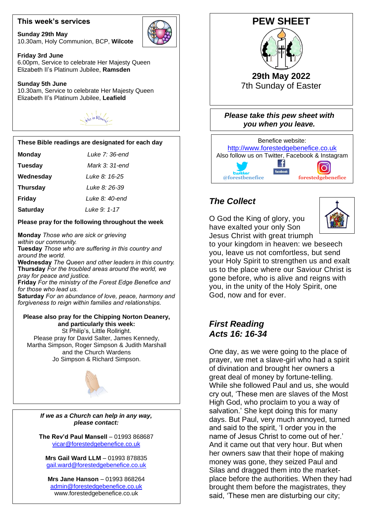### **This week's services**

**Sunday 29th May** 10.30am, Holy Communion, BCP, **Wilcote**



#### **Friday 3rd June**

6.00pm, Service to celebrate Her Majesty Queen Elizabeth II's Platinum Jubilee, **Ramsden**

### **Sunday 5th June**

10.30am, Service to celebrate Her Majesty Queen Elizabeth II's Platinum Jubilee, **Leafield**



### **These Bible readings are designated for each day**

| <b>Monday</b> | Luke 7: 36-ena |
|---------------|----------------|
|               |                |

| <b>Tuesday</b> | Mark 3: 31-end |
|----------------|----------------|
|                |                |

 $\overline{a}$ **Wednesday** *Luke 8: 16-25*

 **Thursday** *Luke 8: 26-39*

**Friday** *Luke 8: 40-end*

**Saturday** *Luke 9: 1-17*

### **Please pray for the following throughout the week**

**Monday** *Those who are sick or grieving within our community.*

**Tuesday** *Those who are suffering in this country and around the world.*

**Wednesday** *The Queen and other leaders in this country.* **Thursday** *For the troubled areas around the world, we pray for peace and justice.*

**Friday** *For the ministry of the Forest Edge Benefice and for those who lead us.*

**Saturday** *For an abundance of love, peace, harmony and forgiveness to reign within families and relationships.*

### **and particularly this week: Please also pray for the Chipping Norton Deanery,**

 and the Church Wardens St Philip's, Little Rollright. Please pray for David Salter, James Kennedy, Martha Simpson, Roger Simpson & Judith Marshall Jo Simpson & Richard Simpson.



*If we as a Church can help in any way, please contact:*

**The Rev'd Paul Mansell** – 01993 868687 [vicar@forestedgebenefice.co.uk](mailto:vicar@forestedgebenefice.co.uk)

**Mrs Gail Ward LLM** – 01993 878835 [gail.ward@forestedgebenefice.co.uk](mailto:gail.ward@forestedgebenefice.co.uk)

**Mrs Jane Hanson** – 01993 868264 [admin@forestedgebenefice.co.uk](mailto:admin@forestedgebenefice.co.uk) www.forestedgebenefice.co.uk



# @forestbenefice  **<b>***<u>bootherice</u>*

# *The Collect*

O God the King of glory, you have exalted your only Son Jesus Christ with great triumph



to your kingdom in heaven: we beseech you, leave us not comfortless, but send your Holy Spirit to strengthen us and exalt us to the place where our Saviour Christ is gone before, who is alive and reigns with you, in the unity of the Holy Spirit, one God, now and for ever.

## *First Reading Acts 16: 16-34*

One day, as we were going to the place of prayer, we met a slave-girl who had a spirit of divination and brought her owners a great deal of money by fortune-telling. While she followed Paul and us, she would cry out, 'These men are slaves of the Most High God, who proclaim to you a way of salvation.' She kept doing this for many days. But Paul, very much annoyed, turned and said to the spirit, 'I order you in the name of Jesus Christ to come out of her.' And it came out that very hour. But when her owners saw that their hope of making money was gone, they seized Paul and Silas and dragged them into the marketplace before the authorities. When they had brought them before the magistrates, they said, 'These men are disturbing our city;